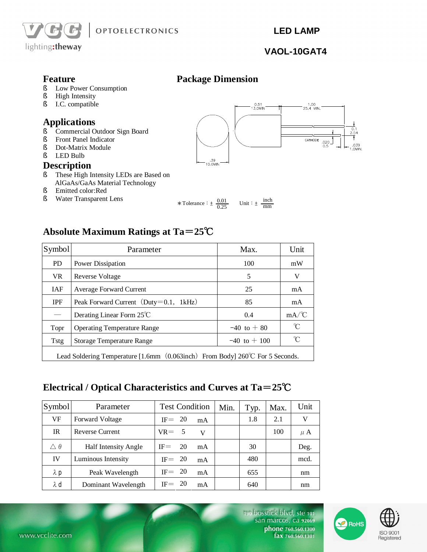

 **LED LAMP** 

## **VAOL-10GAT4**

 $1.00$ <br>25.4 MIN.

 $\overline{\text{CATHODE}}$  .020

- **Feature Package Dimension**<br>S Low Power Consumption § Low Power Consumption<br>§ High Intensity
- 
- § High Intensity<br>§ I.C. compatible § I.C. compatible

# **Applications**

- § Commercial Outdoor Sign Board
- § Front Panel Indicator
- § Dot-Matrix Module
- § LED Bulb

#### **Description**

- § These High Intensity LEDs are Based on AlGaAs/GaAs Material Technology
- § Emitted color:Red § Water Transparent Lens

inch

39.<br>10,0MIN

 $\ast$  Tolerance :  $\pm \frac{0.01}{0.25}$  Unit :  $\pm$ 0.25 mm

0.51<br>13.0MIN

# **Absolute Maximum Ratings at Ta=25℃**

| Symbol                                                                        | Parameter                               | Max.            | Unit |  |  |
|-------------------------------------------------------------------------------|-----------------------------------------|-----------------|------|--|--|
| <b>PD</b>                                                                     | Power Dissipation                       | 100             | mW   |  |  |
| VR.                                                                           | Reverse Voltage                         | 5               | V    |  |  |
| <b>IAF</b>                                                                    | Average Forward Current                 | 25              | mA   |  |  |
| <b>IPF</b>                                                                    | Peak Forward Current $(Duty=0.1, 1kHz)$ | 85              | mA   |  |  |
|                                                                               | Derating Linear Form 25°C               | 0.4             | mA/C |  |  |
| Topr                                                                          | <b>Operating Temperature Range</b>      | $-40$ to $+80$  | °C   |  |  |
| Tstg                                                                          | <b>Storage Temperature Range</b>        | $-40$ to $+100$ | °C   |  |  |
| Lead Soldering Temperature [1.6mm (0.063inch) From Body] 260°C For 5 Seconds. |                                         |                 |      |  |  |

# **Electrical / Optical Characteristics and Curves at Ta=25℃**

| Symbol             | Parameter                   | <b>Test Condition</b> |    | Min. | Typ. | Max. | Unit    |
|--------------------|-----------------------------|-----------------------|----|------|------|------|---------|
| VF                 | Forward Voltage             | $IF = 20$             | mA |      | 1.8  | 2.1  | V       |
| IR                 | <b>Reverse Current</b>      | $VR = 5$              | V  |      |      | 100  | $\mu$ A |
| $\triangle \theta$ | <b>Half Intensity Angle</b> | 20<br>$IF =$          | mA |      | 30   |      | Deg.    |
| IV                 | Luminous Intensity          | $IF = 20$             | mA |      | 480  |      | mcd.    |
| $\lambda$ p        | Peak Wavelength             | $IF = 20$             | mA |      | 655  |      | nm      |
| $\lambda$ d        | Dominant Wavelength         | $IF = 20$             | mA |      | 640  |      | nm      |



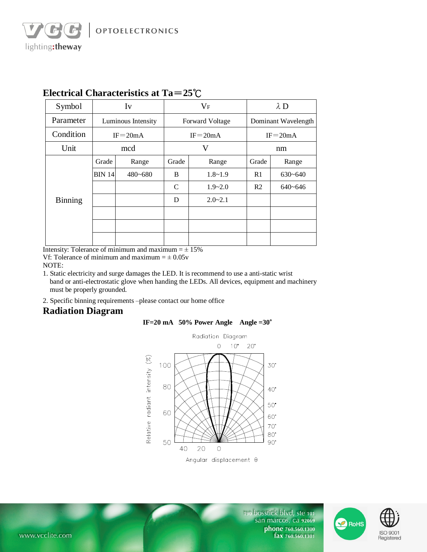| Symbol         | Iv            |                    | $V_F$           |             | $\lambda$ D         |             |  |
|----------------|---------------|--------------------|-----------------|-------------|---------------------|-------------|--|
| Parameter      |               | Luminous Intensity | Forward Voltage |             | Dominant Wavelength |             |  |
| Condition      | $IF = 20mA$   |                    | $IF = 20mA$     |             | $IF = 20mA$         |             |  |
| Unit           |               | mcd                | V               |             | nm                  |             |  |
|                | Grade         | Range              | Grade           | Range       | Grade               | Range       |  |
|                | <b>BIN 14</b> | 480~680            | B               | $1.8 - 1.9$ | R1                  | $630 - 640$ |  |
|                |               |                    | $\mathcal{C}$   | $1.9 - 2.0$ | R <sub>2</sub>      | $640 - 646$ |  |
| <b>Binning</b> |               |                    | D               | $2.0 - 2.1$ |                     |             |  |
|                |               |                    |                 |             |                     |             |  |
|                |               |                    |                 |             |                     |             |  |
|                |               |                    |                 |             |                     |             |  |

### **Electrical Characteristics at Ta=25℃**

Intensity: Tolerance of minimum and maximum  $= \pm 15\%$ 

Vf: Tolerance of minimum and maximum  $= \pm 0.05v$ 

NOTE:

lighting:theway

1. Static electricity and surge damages the LED. It is recommend to use a anti-static wrist band or anti-electrostatic glove when handing the LEDs. All devices, equipment and machinery must be properly grounded.

2. Specific binning requirements –please contact our home office

#### **Radiation Diagram**





Angular displacement 0